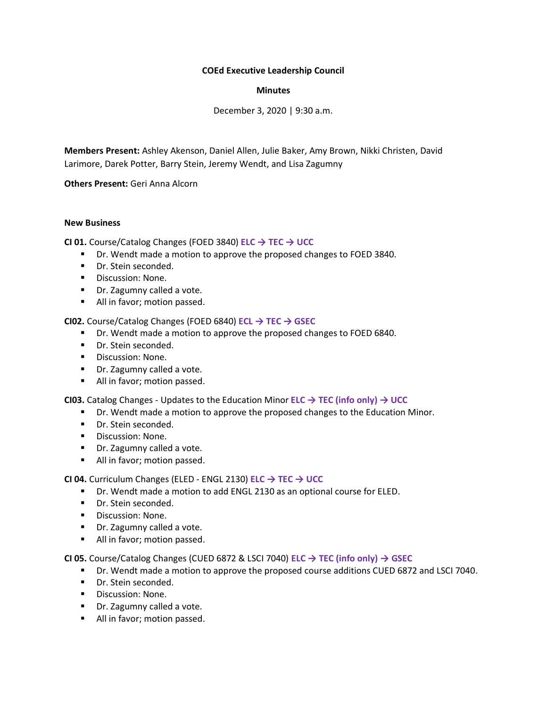## **COEd Executive Leadership Council**

## **Minutes**

December 3, 2020 | 9:30 a.m.

**Members Present:** Ashley Akenson, Daniel Allen, Julie Baker, Amy Brown, Nikki Christen, David Larimore, Darek Potter, Barry Stein, Jeremy Wendt, and Lisa Zagumny

**Others Present:** Geri Anna Alcorn

## **New Business**

**CI 01.** Course/Catalog Changes (FOED 3840) **ELC → TEC → UCC**

- Dr. Wendt made a motion to approve the proposed changes to FOED 3840.
- Dr. Stein seconded.
- Discussion: None.
- Dr. Zagumny called a vote.
- All in favor; motion passed.

**CI02.** Course/Catalog Changes (FOED 6840) **ECL → TEC → GSEC**

- Dr. Wendt made a motion to approve the proposed changes to FOED 6840.
- Dr. Stein seconded.
- Discussion: None.
- Dr. Zagumny called a vote.
- All in favor; motion passed.

**CI03.** Catalog Changes - Updates to the Education Minor **ELC → TEC (info only) → UCC**

- Dr. Wendt made a motion to approve the proposed changes to the Education Minor.
- Dr. Stein seconded.
- Discussion: None.
- Dr. Zagumny called a vote.
- All in favor; motion passed.

**CI 04.** Curriculum Changes (ELED - ENGL 2130) **ELC → TEC → UCC**

- Dr. Wendt made a motion to add ENGL 2130 as an optional course for ELED.
- Dr. Stein seconded.
- Discussion: None.
- Dr. Zagumny called a vote.
- All in favor; motion passed.

**CI 05.** Course/Catalog Changes (CUED 6872 & LSCI 7040) **ELC → TEC (info only) → GSEC**

- Dr. Wendt made a motion to approve the proposed course additions CUED 6872 and LSCI 7040.
- Dr. Stein seconded.
- Discussion: None.
- Dr. Zagumny called a vote.
- All in favor; motion passed.